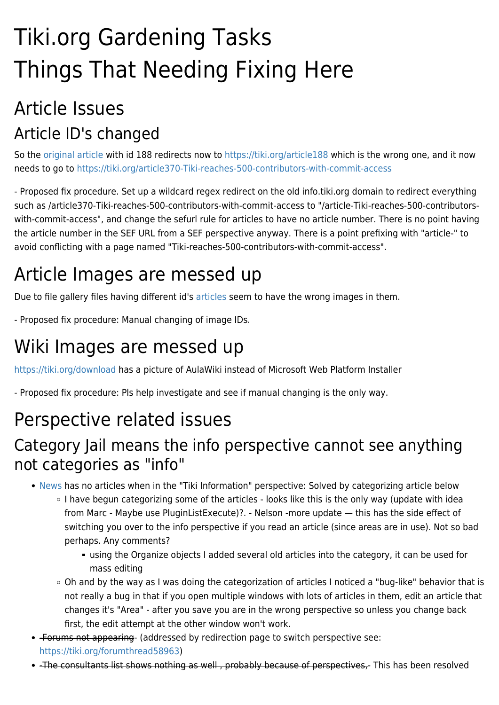# Tiki.org Gardening Tasks Things That Needing Fixing Here

# Article Issues Article ID's changed

So the [original article](https://legacyinfo.tiki.org/article188-Tiki-reaches-500-contributors-with-commit-access) with id 188 redirects now to<https://tiki.org/article188>which is the wrong one, and it now needs to go to <https://tiki.org/article370-Tiki-reaches-500-contributors-with-commit-access>

- Proposed fix procedure. Set up a wildcard regex redirect on the old info.tiki.org domain to redirect everything such as /article370-Tiki-reaches-500-contributors-with-commit-access to "/article-Tiki-reaches-500-contributorswith-commit-access", and change the sefurl rule for articles to have no article number. There is no point having the article number in the SEF URL from a SEF perspective anyway. There is a point prefixing with "article-" to avoid conflicting with a page named "Tiki-reaches-500-contributors-with-commit-access".

# Article Images are messed up

Due to file gallery files having different id's [articles](https://tiki.org/article370-Tiki-reaches-500-contributors-with-commit-access) seem to have the wrong images in them.

- Proposed fix procedure: Manual changing of image IDs.

### Wiki Images are messed up

<https://tiki.org/download> has a picture of AulaWiki instead of Microsoft Web Platform Installer

- Proposed fix procedure: Pls help investigate and see if manual changing is the only way.

#### Perspective related issues

#### Category Jail means the info perspective cannot see anything not categories as "info"

- [News](https://tiki.org/News) has no articles when in the "Tiki Information" perspective: Solved by categorizing article below
	- o I have begun categorizing some of the articles looks like this is the only way (update with idea from Marc - Maybe use PluginListExecute)?. - Nelson -more update — this has the side effect of switching you over to the info perspective if you read an article (since areas are in use). Not so bad perhaps. Any comments?
		- using the Organize objects I added several old articles into the category, it can be used for mass editing
	- Oh and by the way as I was doing the categorization of articles I noticed a "bug-like" behavior that is not really a bug in that if you open multiple windows with lots of articles in them, edit an article that changes it's "Area" - after you save you are in the wrong perspective so unless you change back first, the edit attempt at the other window won't work.
- -Forums not appearing- (addressed by redirection page to switch perspective see: <https://tiki.org/forumthread58963>)
- -The consultants list shows nothing as well, probably because of perspectives,- This has been resolved